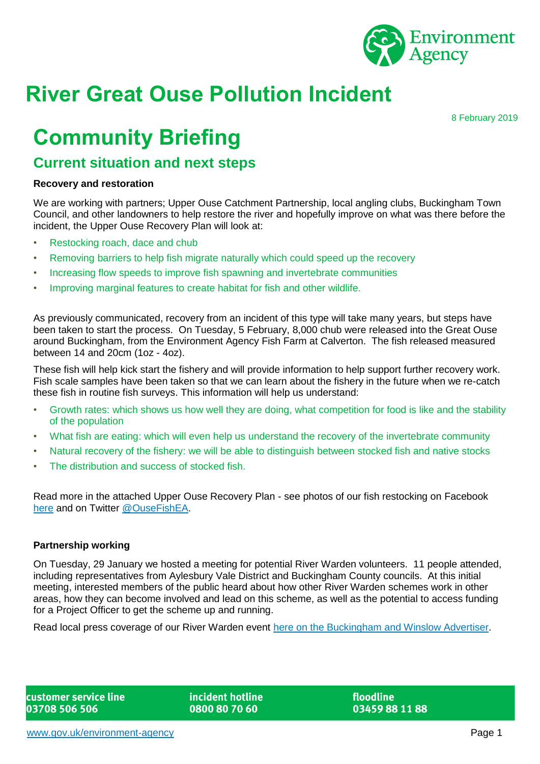

# **River Great Ouse Pollution Incident**

8 February 2019

## **Community Briefing**

### **Current situation and next steps**

#### **Recovery and restoration**

We are working with partners; Upper Ouse Catchment Partnership, local angling clubs, Buckingham Town Council, and other landowners to help restore the river and hopefully improve on what was there before the incident, the Upper Ouse Recovery Plan will look at:

- Restocking roach, dace and chub
- Removing barriers to help fish migrate naturally which could speed up the recovery
- Increasing flow speeds to improve fish spawning and invertebrate communities
- Improving marginal features to create habitat for fish and other wildlife.

As previously communicated, recovery from an incident of this type will take many years, but steps have been taken to start the process. On Tuesday, 5 February, 8,000 chub were released into the Great Ouse around Buckingham, from the Environment Agency Fish Farm at Calverton. The fish released measured between 14 and 20cm (1oz - 4oz).

These fish will help kick start the fishery and will provide information to help support further recovery work. Fish scale samples have been taken so that we can learn about the fishery in the future when we re-catch these fish in routine fish surveys. This information will help us understand:

- Growth rates: which shows us how well they are doing, what competition for food is like and the stability of the population
- What fish are eating: which will even help us understand the recovery of the invertebrate community
- Natural recovery of the fishery: we will be able to distinguish between stocked fish and native stocks
- The distribution and success of stocked fish.

Read more in the attached Upper Ouse Recovery Plan - see photos of our fish restocking on Facebook [here](https://www.facebook.com/OuseFishEA/?__tn__=kC-R&eid=ARBg_p3P9e8HqL2m1GzvgPBzKLD7Jcm6J-igH5gUsETP7l1zTv5MSqX0Re8FNLySPBmOGFOiasqfGE2F&hc_ref=ARQIDF8kKqrsHP6xcW4BtL5CkSx6ysQH9bBztyM_Mbv6iFpV5U162jKjjMJ_mLyt_1s&__xts__%5b0%5d=68.ARCCWeZCFc-2IP16ULvQ6X9hNTOpK0tcWex5qy6GxYL2s4e51iAwcM6Qv9uZg4ZLp31Uk875oYBndqE_OHTxOs7fHVhyanfEAmjAoP1DP95hr3DCGmHGxxxuX_MyKn-E5IvNx0BM6JvCLkrxYlR8HiL9k1IFTVMthcrkxk1ipXF_kd7PF4TCLl9o-l0Ga0H-6QmSdhJu_dAD6zbXmFcN3rRMJVjA0tNIgb5kHJwYSrhPUJ3hYpY3E4JNlxTKvFMmpwlsqGb2n5r8QSkO6NXFxitZi-U8YbAy1TrudAi1C9APweKSGAqaaTGlNaNQq3dYfKZ_mVf444a1pDy0WOrBPOyU4VBj4qIj0ZHNUV7TE9_uiS4LeBlefzk) and on Twitter [@OuseFishEA.](https://www.facebook.com/OuseFishEA/?__tn__=kC-R&eid=ARBg_p3P9e8HqL2m1GzvgPBzKLD7Jcm6J-igH5gUsETP7l1zTv5MSqX0Re8FNLySPBmOGFOiasqfGE2F&hc_ref=ARQIDF8kKqrsHP6xcW4BtL5CkSx6ysQH9bBztyM_Mbv6iFpV5U162jKjjMJ_mLyt_1s&__xts__%5b0%5d=68.ARCCWeZCFc-2IP16ULvQ6X9hNTOpK0tcWex5qy6GxYL2s4e51iAwcM6Qv9uZg4ZLp31Uk875oYBndqE_OHTxOs7fHVhyanfEAmjAoP1DP95hr3DCGmHGxxxuX_MyKn-E5IvNx0BM6JvCLkrxYlR8HiL9k1IFTVMthcrkxk1ipXF_kd7PF4TCLl9o-l0Ga0H-6QmSdhJu_dAD6zbXmFcN3rRMJVjA0tNIgb5kHJwYSrhPUJ3hYpY3E4JNlxTKvFMmpwlsqGb2n5r8QSkO6NXFxitZi-U8YbAy1TrudAi1C9APweKSGAqaaTGlNaNQq3dYfKZ_mVf444a1pDy0WOrBPOyU4VBj4qIj0ZHNUV7TE9_uiS4LeBlefzk)

#### **Partnership working**

On Tuesday, 29 January we hosted a meeting for potential River Warden volunteers. 11 people attended, including representatives from Aylesbury Vale District and Buckingham County councils. At this initial meeting, interested members of the public heard about how other River Warden schemes work in other areas, how they can become involved and lead on this scheme, as well as the potential to access funding for a Project Officer to get the scheme up and running.

Read local press coverage of our River Warden event [here on the Buckingham](https://www.buckinghamtoday.co.uk/news/could-you-be-a-river-warden-in-buckingham-1-8790828) and Winslow Advertiser.

incident hotline 0800 80 70 60

floodline 03459 88 11 88